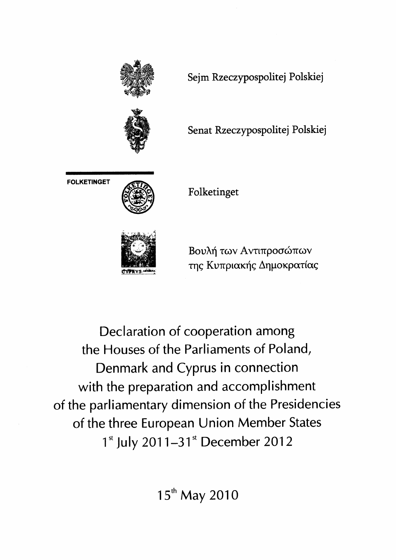

Declaration of cooperation among the Houses of the Parliaments of Poland, Denmark and Cyprus in connection with the preparation and accomplishment of the parliamentary dimension of the Presidencies of the three European Union Member States 1<sup>st</sup> July 2011-31<sup>st</sup> December 2012

15<sup>th</sup> May 2010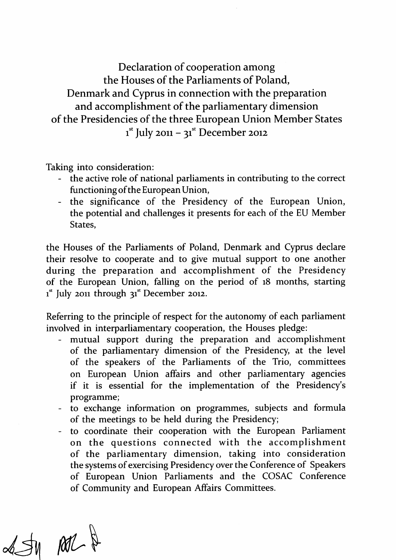Declaration of cooperation among the Houses of the Parliaments of Poland, Denmark and Cyprus in connection with the preparation and accomplishment of the parliamentary dimension of the Presidencies of the three European Union Member States  $i<sup>st</sup>$  July 2011 – 31<sup>st</sup> December 2012

Taking into consideration:

- the active role of national parliaments in contributing to the correct functioning of the European Union,
- the significance of the Presidency of the European Union, the potential and challenges it presents for each of the EU Member States,

the Houses of the Parliaments of Poland, Denmark and Cyprus declare their resolve to cooperate and to give mutual support to one another during the preparation and accomplishment of the Presidency of the European Union, falling on the period of 18 months, starting  $i<sup>st</sup>$  July 2011 through 31<sup>st</sup> December 2012.

Referring to the principle of respect for the autonomy of each parliament involved in interparliamentary cooperation, the Houses pledge:

- mutual support during the preparation and accomplishment of the parliamentary dimension of the Presidency, at the level of the speakers of the Parliaments of the Trio, committees on European Union affairs and other parliamentary agencies if it is essential for the implementation of the Presidency's programme;
- to exchange information on programmes, subjects and formula of the meetings to be held during the Presidency;
- to coordinate their cooperation with the European Parliament on the questions connected with the accomplishment of the parliamentary dimension, taking into consideration the systems of exercising Presidency over the Conference of Speakers of European Union Parliaments and the COSAC Conference of Community and European Affairs Committees.

 $\mathcal{A} \mathcal{A} \text{ and } \mathcal{A} \text{ } \mathcal{A}$